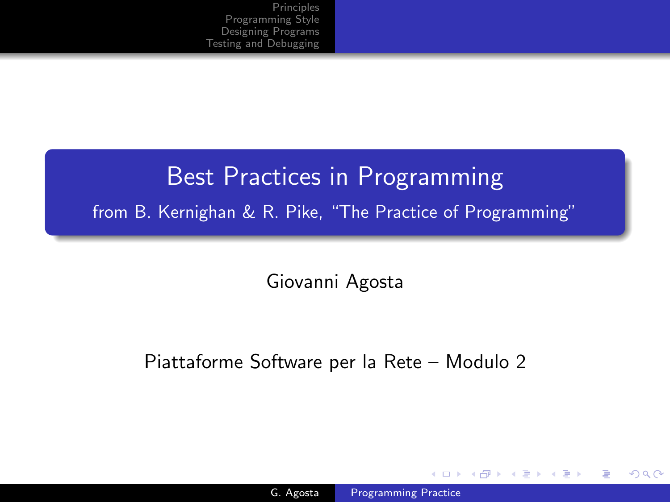# Best Practices in Programming from B. Kernighan & R. Pike, "The Practice of Programming"

Giovanni Agosta

Piattaforme Software per la Rete – Modulo 2

and in

 $4.49 \times 4.75$ 

<span id="page-0-0"></span> $\Omega$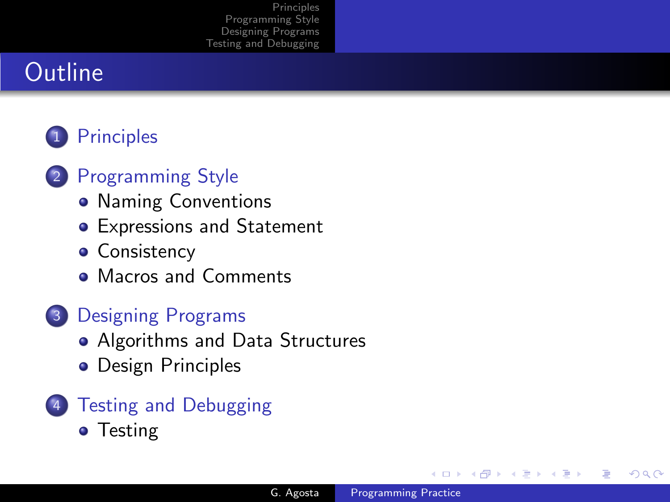# **Outline**

# 1 [Principles](#page-2-0)

# 2 [Programming Style](#page-5-0)

- [Naming Conventions](#page-5-0)
- **•** [Expressions and Statement](#page-8-0)
- **[Consistency](#page-15-0)**
- [Macros and Comments](#page-21-0)

# 3 [Designing Programs](#page-23-0)

- [Algorithms and Data Structures](#page-23-0)
- [Design Principles](#page-25-0)
- **[Testing and Debugging](#page-33-0) •** [Testing](#page-35-0)

 $\leftarrow$ 

 $\sim$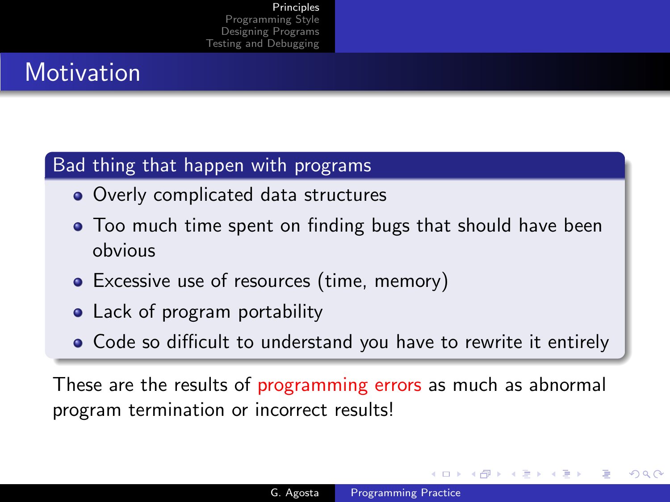# **Motivation**

## Bad thing that happen with programs

- Overly complicated data structures
- Too much time spent on finding bugs that should have been obvious
- Excessive use of resources (time, memory)
- Lack of program portability
- Code so difficult to understand you have to rewrite it entirely

These are the results of programming errors as much as abnormal program termination or incorrect results!

<span id="page-2-0"></span>つくへ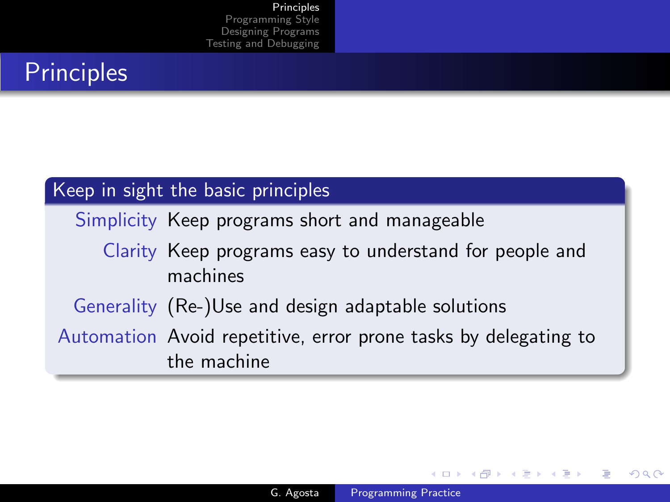# **Principles**

#### Keep in sight the basic principles

Simplicity Keep programs short and manageable

## Clarity Keep programs easy to understand for people and machines

Generality (Re-)Use and design adaptable solutions

Automation Avoid repetitive, error prone tasks by delegating to the machine

4 17 18

④ 骨 ▶ ④ 手 ▶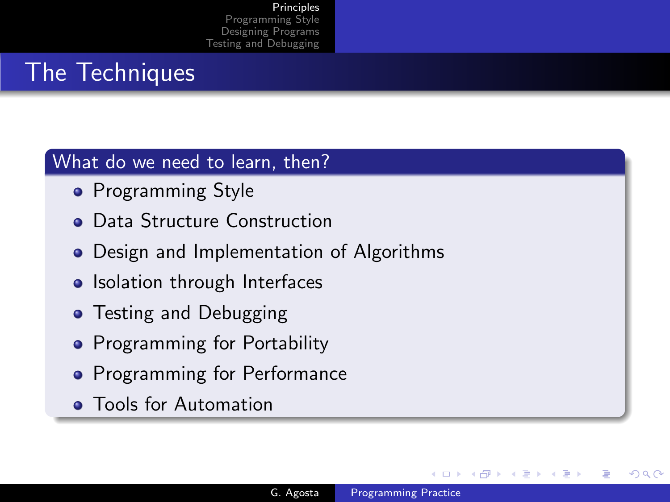# The Techniques

### What do we need to learn, then?

- **•** Programming Style
- **Data Structure Construction**
- Design and Implementation of Algorithms
- Isolation through Interfaces
- Testing and Debugging
- **•** Programming for Portability
- **•** Programming for Performance
- **Tools for Automation**

 $\leftarrow$ 

 $\sim$ 

つくへ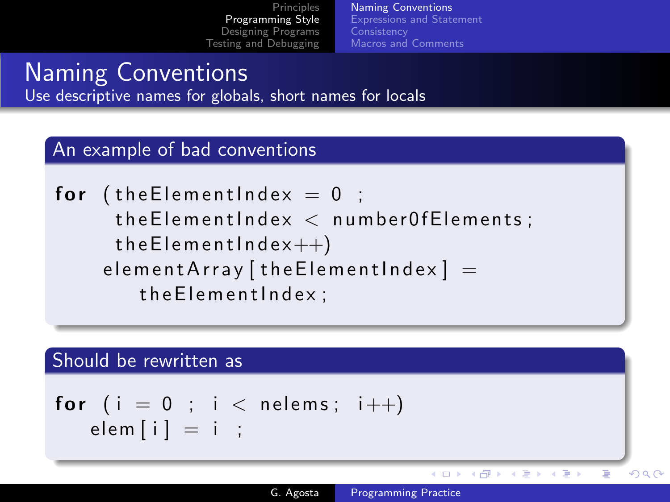[Naming Conventions](#page-5-0) [Expressions and Statement](#page-8-0) **[Consistency](#page-15-0)** [Macros and Comments](#page-21-0)

## Naming Conventions Use descriptive names for globals, short names for locals

#### An example of bad conventions

\n
$$
\text{for } (\text{theElementIndex} = 0 \; ; \; \text{theElementIndex} < \text{numberOfElements}; \; \text{theElementIndex++})
$$
\n

\n\n $\text{elementArray} \left[ \text{theElementIndex} \right] = \text{theElementIndex};$ \n

#### Should be rewritten as

$$
\begin{array}{c} \textbf{for} \ (\ i = 0 \ ; \ i < \ \text{nelems} \ ; \ i++) \\ \textbf{elem} \ [\ i \ ] = i \ ; \end{array}
$$

イロメ イ母メ イヨメ イヨメ

<span id="page-5-0"></span>Þ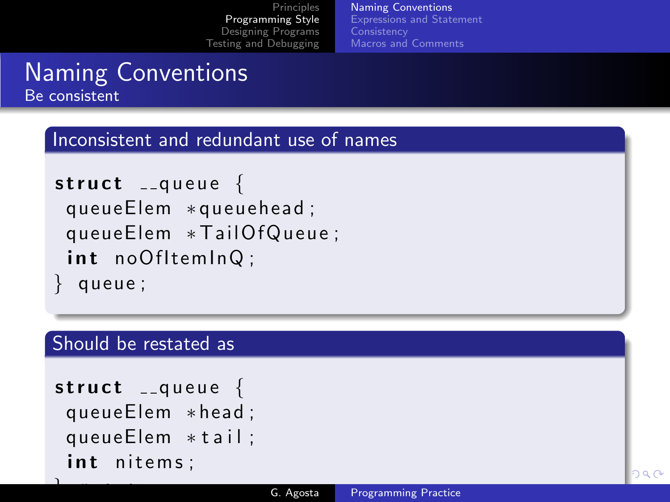[Naming Conventions](#page-5-0) [Expressions and Statement](#page-8-0) **[Consistency](#page-15-0)** [Macros and Comments](#page-21-0)

## Naming Conventions Be consistent

#### Inconsistent and redundant use of names

```
struct _{-}queue {
 queueElem ∗ queuehead ;
 queueElem * TailOfQueue;
 int noOfItemInQ:
 queue;
```
#### Should be restated as

```
struct _{-}queue {
 queueElem ∗ head ;
 queueElem *tail;
 int nitems;
```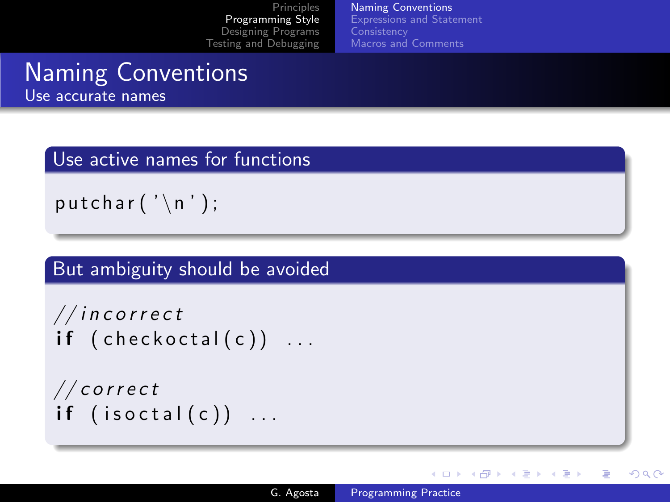[Naming Conventions](#page-5-0) [Expressions and Statement](#page-8-0) **[Consistency](#page-15-0)** [Macros and Comments](#page-21-0)

#### Naming Conventions Use accurate names

Use active names for functions

putchar  $(' \n\cdot \n)$ ;

But ambiguity should be avoided

```
// incorrectif ( check octal(c) ) ...
```

```
// correctif ( is octal(c)) ...
```
∢ ロ ▶ . ∢ 何 ▶ . ∢ ヨ ▶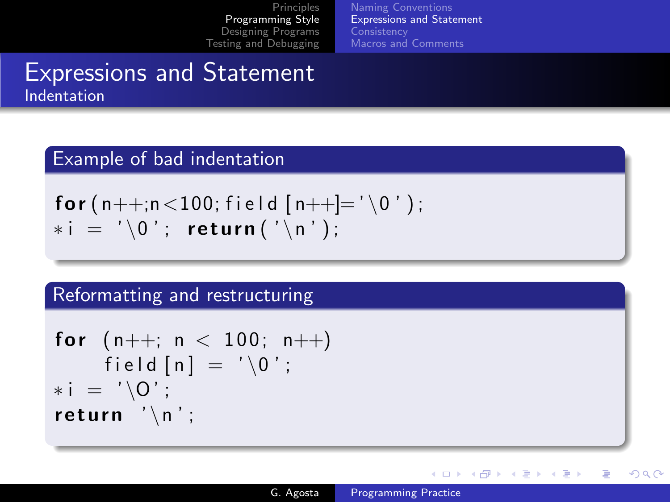[Naming Conventions](#page-5-0) [Expressions and Statement](#page-8-0) **[Consistency](#page-15-0)** [Macros and Comments](#page-21-0)

## Expressions and Statement Indentation

#### Example of bad indentation

$$
\begin{array}{ll}\nfor (n++, n < 100; field [n++]= '\ 0 ');\n * i = '\ 0'; return (' \ n');\n\end{array}
$$

### Reformatting and restructuring

$$
\begin{array}{ll}\n\text{for} & (n++); n < 100; n++) \\
& \text{field } [n] = ' \setminus 0'; \\
& *i = ' \setminus 0'; \\
\text{return } ' \setminus n';\n\end{array}
$$

4 0 8

→ 伊 ▶ → 手

つくへ

<span id="page-8-0"></span>∍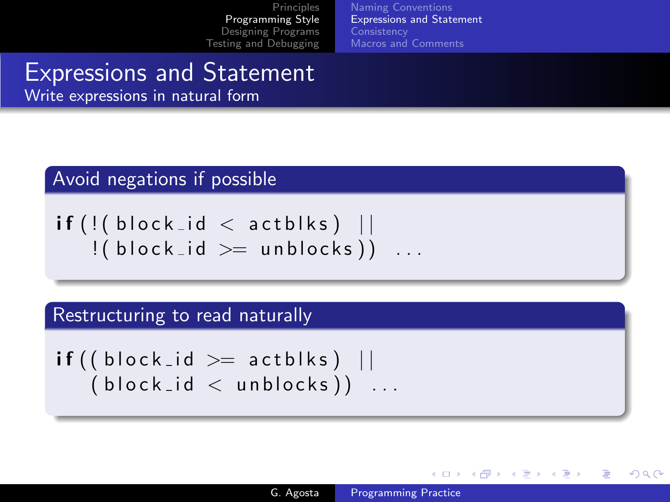[Naming Conventions](#page-5-0) [Expressions and Statement](#page-8-0) **[Consistency](#page-15-0)** [Macros and Comments](#page-21-0)

# Expressions and Statement

Write expressions in natural form

### Avoid negations if possible

i f ( ! ( b l o c k i d < a c t b l k s ) | | ! ( b l o c k i d >= u n b l o c k s ) ) . . .

#### Restructuring to read naturally

$$
\begin{array}{c}\n \text{if ((block_id >= actblks) ||} \\
 \text{(block_id < unblocks))} \dots\n \end{array}
$$

**∢ ロ ▶ - ∢ 伊 ▶ - ∢ ∃**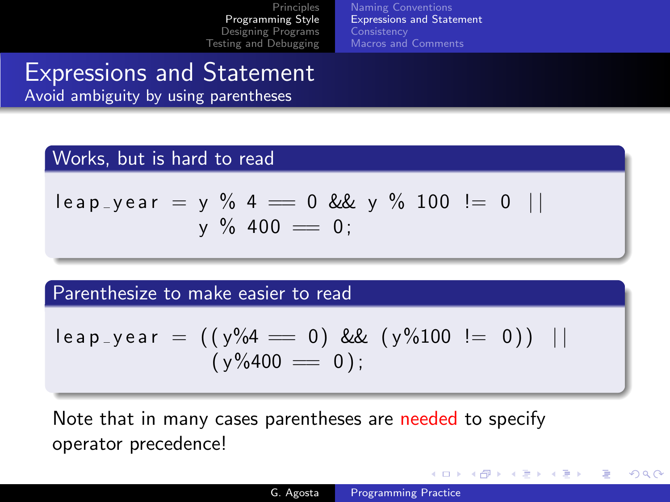[Naming Conventions](#page-5-0) [Expressions and Statement](#page-8-0) **[Consistency](#page-15-0)** [Macros and Comments](#page-21-0)

# Expressions and Statement

Avoid ambiguity by using parentheses

#### Works, but is hard to read

$$
Ieap_year = y \% 4 = 0 \& y \% 100 != 0 ||
$$
  
y % 400 = 0;

Parenthesize to make easier to read

$$
Ieap_year = ((y\%4 = 0) \& (y\%100 != 0)) ||
$$
  
(y\%400 = 0);

Note that in many cases parentheses are needed to specify operator precedence!

4 0 8

→ 何 ▶ → 手 ▶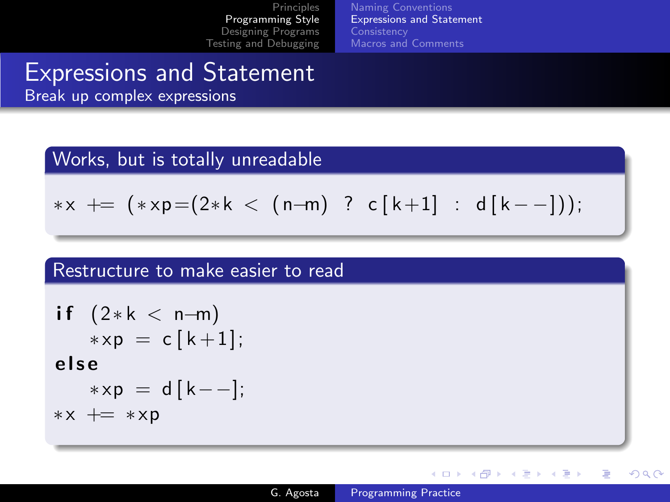[Naming Conventions](#page-5-0) [Expressions and Statement](#page-8-0) **[Consistency](#page-15-0)** [Macros and Comments](#page-21-0)

# Expressions and Statement

Break up complex expressions

#### Works, but is totally unreadable

$$
*x \;\; \text{+} = \;\; (*xp {=} (2*k \; < \; (n{-}m) \;\; ? \;\; c \, [\,k{+}1] \;\; : \;\; d \, [\,k{-}-])\,);
$$

#### Restructure to make easier to read

$$
\begin{aligned}\n\text{if } (2*k < n-m) \\
& *xp &= c[k+1]; \\
\text{else} \\
& *xp &= d[k--]; \\
& *x &+= \cdot xp\n\end{aligned}
$$

4 0 8

 $\leftarrow$   $\leftarrow$   $\leftarrow$   $\leftarrow$   $\leftarrow$ 

 $QQ$ 

∍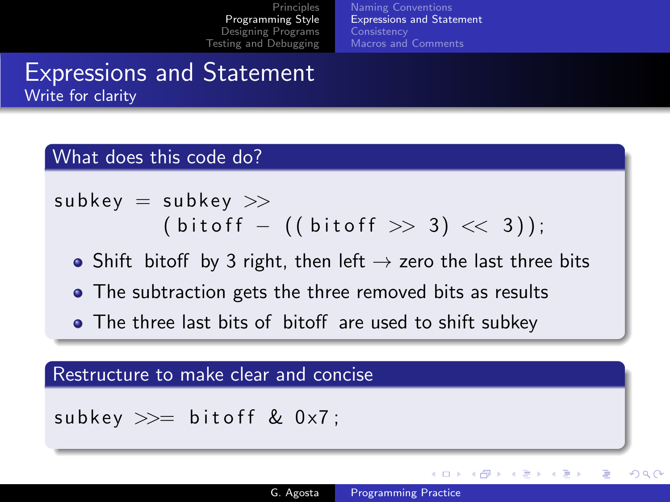[Naming Conventions](#page-5-0) [Expressions and Statement](#page-8-0) **[Consistency](#page-15-0)** [Macros and Comments](#page-21-0)

## Expressions and Statement Write for clarity

#### What does this code do?

s u bk ey = s u bk ey >> ( b i t o f f − ( ( b i t o f f >> 3 ) << 3 ) ) ;

- Shift bitoff by 3 right, then left  $\rightarrow$  zero the last three bits
- The subtraction gets the three removed bits as results
- The three last bits of bitoff are used to shift subkey

#### Restructure to make clear and concise

subkey  $\gg=$  bitoff & 0x7;

**K ロ ▶ | K 伊 ▶ | K 手** 

つくへ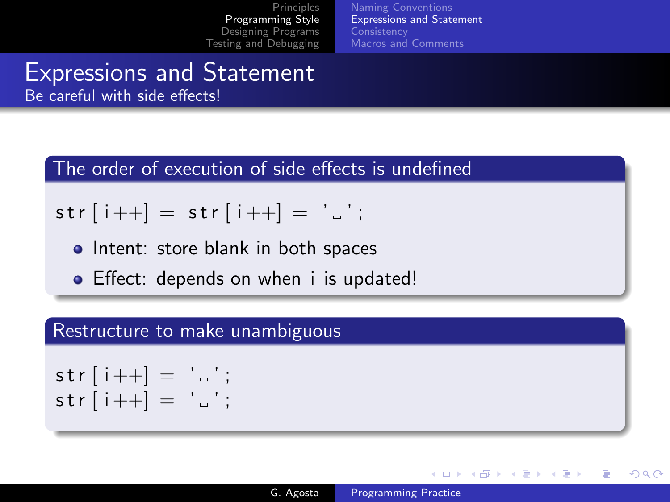[Naming Conventions](#page-5-0) [Expressions and Statement](#page-8-0) **[Consistency](#page-15-0)** [Macros and Comments](#page-21-0)

#### Expressions and Statement Be careful with side effects!

The order of execution of side effects is undefined

# $str[i++] = str[i++] = '$ ;

- Intent: store blank in both spaces
- Effect: depends on when *i* is updated!

#### Restructure to make unambiguous

```
str[i++] = ';
str[i++] = ' \square';
```
メロメ メ母メ メミメ メミメ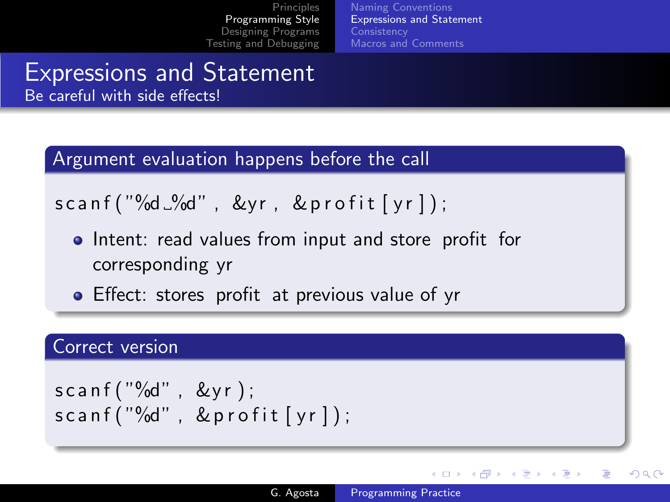[Naming Conventions](#page-5-0) [Expressions and Statement](#page-8-0) **[Consistency](#page-15-0)** [Macros and Comments](#page-21-0)

### Expressions and Statement Be careful with side effects!

Argument evaluation happens before the call

 $s$ canf ("%d  $\mathcal{A}$ d", &yr, &profit [yr]);

- Intent: read values from input and store profit for corresponding yr
- **•** Effect: stores profit at previous value of yr

#### Correct version

s c a n f ( "%d" , &y r ) ; s c a n f ( "%d" , & p r o f i t [ y r ] ) ;

**∢ ロ ▶ - ∢ 伊 ▶ - ∢ ∃** 

つくへ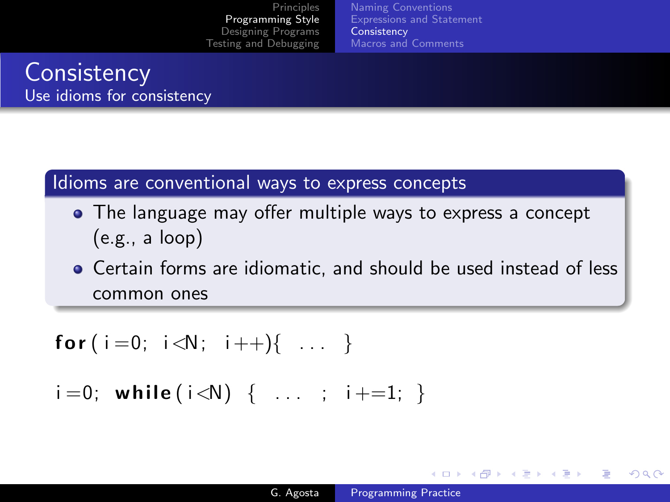[Naming Conventions](#page-5-0) [Expressions and Statement](#page-8-0) **[Consistency](#page-15-0)** [Macros and Comments](#page-21-0)

## **Consistency** Use idioms for consistency

#### Idioms are conventional ways to express concepts

• The language may offer multiple ways to express a concept (e.g., a loop)

Certain forms are idiomatic, and should be used instead of less common ones

$$
for (i=0; i < N; i++) \{ ... \}
$$

 $i = 0;$  while  $(i < N) \{ ... ; i+=1; \}$ 

<span id="page-15-0"></span>イロト イ母 ト イヨ ト イヨ トー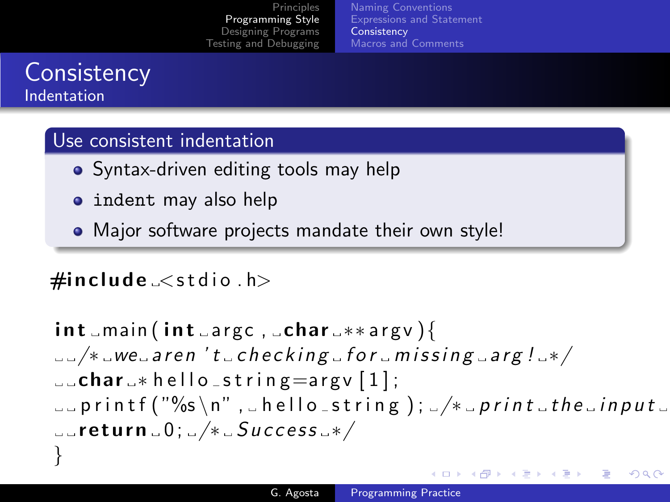[Naming Conventions](#page-5-0) [Expressions and Statement](#page-8-0) **[Consistency](#page-15-0)** [Macros and Comments](#page-21-0)

## **Consistency** Indentation

### Use consistent indentation

- Syntax-driven editing tools may help
- indent may also help
- Major software projects mandate their own style!

## $\#$ include  $\lt$ stdio  $\cdot$ h $>$

i n t main ( i n t a r gc , char ∗∗ a r g v ){ /∗ we a r e n ' t c h e c k i n g f o r m i s s i n g a r g ! ∗/ char ∗ h e l l o s t r i n g=a r g v [ 1 ] ; p r i n t f ( "%s \n" , h e l l o s t r i n g ) ; /∗ p r i n t t h e i n p u t s t r i n g ∗/ r e t u r n 0 ; /∗ S u c c e s s ∗/ }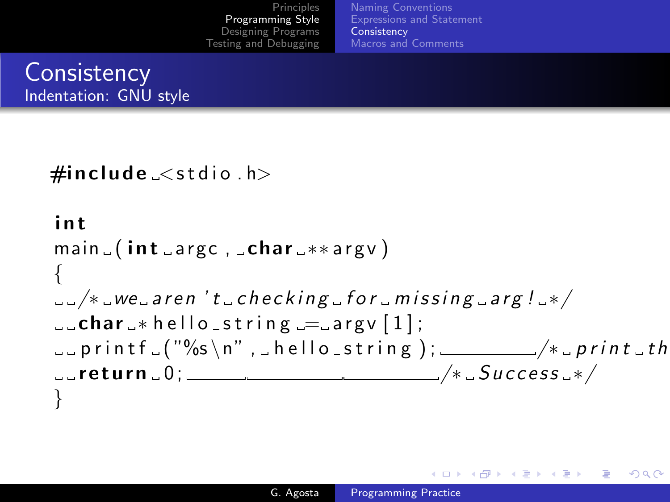[Naming Conventions](#page-5-0) [Expressions and Statement](#page-8-0) **[Consistency](#page-15-0)** [Macros and Comments](#page-21-0)

# **Consistency** Indentation: GNU style

```
\#include \ltstdio \cdoth>
```

```
i n t
main (int <math>\square</math> argc, <math>\square</math> char <math>\square</math> **argv){
\mu = \frac{1}{2} we aren 't checking for missing arg! */
c char \rightarrow hello string = argy [1];
\Boxprintf\Box("%s\n", bello_string); ______/*sprintsth
\text{arcturn } 0; \frac{1}{2} setturn \frac{1}{2} or \frac{1}{2} settem \frac{1}{2} settem \frac{1}{2} settem \frac{1}{2} settem \frac{1}{2} settem \frac{1}{2} settem \frac{1}{2} settem \frac{1}{2} settem \frac{1}{2} settem \frac{1}{2} settem \frac{1}{2}
```
イロメ イ押メ イヨメ イヨメー

 $\Omega$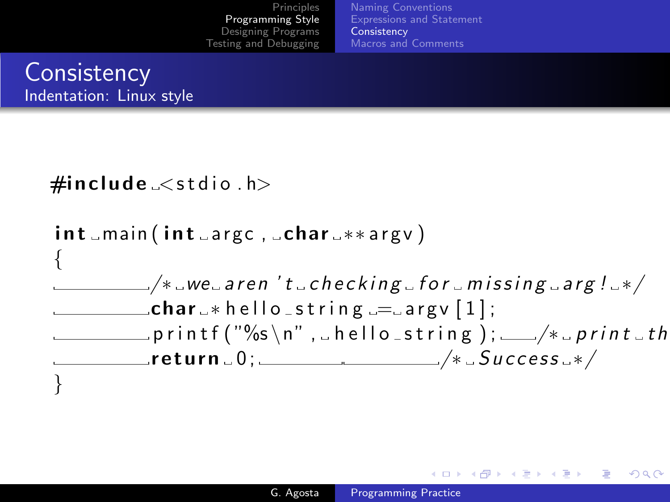[Naming Conventions](#page-5-0) [Expressions and Statement](#page-8-0) **[Consistency](#page-15-0)** [Macros and Comments](#page-21-0)

## **Consistency** Indentation: Linux style



イロメ イ何メ イヨメ イヨメー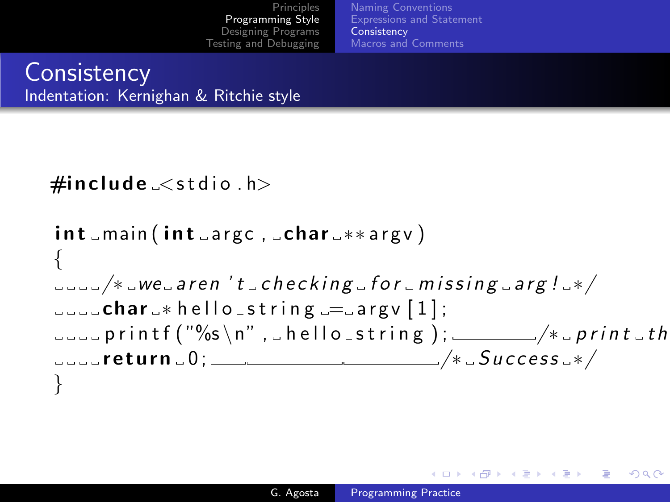[Naming Conventions](#page-5-0) [Expressions and Statement](#page-8-0) **[Consistency](#page-15-0)** [Macros and Comments](#page-21-0)

## **Consistency** Indentation: Kernighan & Ritchie style

```
\#include \ltstdio \cdoth>
```

```
int_{max}(int_{array}, char **argv)
{
\sim \sim \sim \mu we aren 't checking for missing arg! */
c_1 c_2 c_3 c_4 c_5 c_6 c_7 c_8 c_7 c_8 c_9 c_9 c_9 c_9 c_9 c_9 c_9 c_9 c_9 c_9 c_9 c_9 c_9 c_9 c_9 c_9 c_9 c_9 c_9 c_9 c_9 c_9 c_9 c_9 c_9 c_9 c_9\Box\Box\Box\mathsf{print}( "%s\n",\Boxhello\botstring);\Box/*\Boxprint\botth
r = r + 1 success r * / r}
```
イロメ イ押メ イヨメ イヨメー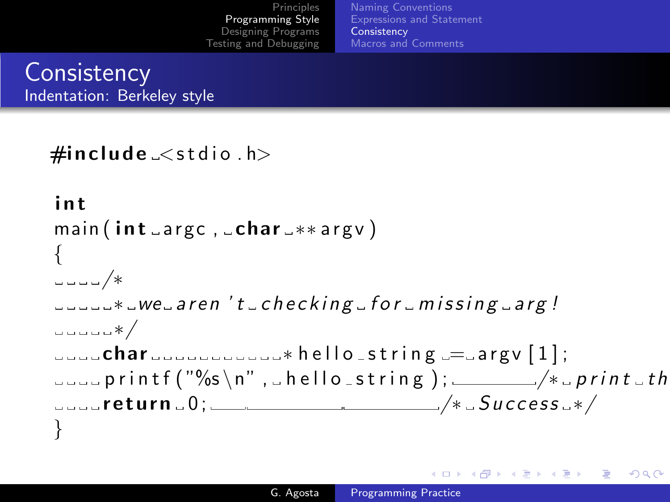[Principles](#page-2-0) [Programming Style](#page-5-0) [Designing Programs](#page-23-0) [Testing and Debugging](#page-33-0) [Naming Conventions](#page-5-0) [Expressions and Statement](#page-8-0) **[Consistency](#page-15-0)** [Macros and Comments](#page-21-0)

**Consistency** Indentation: Berkeley style

```
\#include\lestdio.h>int
main ( int argc, char -* argv)
{
/∗
\Box\Box\Box*\Boxwe\Boxaren 't\Boxchecking\Boxfor\Boxmissing\Boxarg!
∗/
\frac{1}{2} char \frac{1}{2} ... \frac{1}{2} ... \frac{1}{2} hello string \frac{1}{2} argy \frac{1}{2};
\Box\Boxprintf ("%s\n", hello_string); _____/*\Boxprint \Boxth
r = r e t u r n 0; r = r /* Success 4/}
```
メロメ メ都 メメ きょく ミメー

 $\Omega$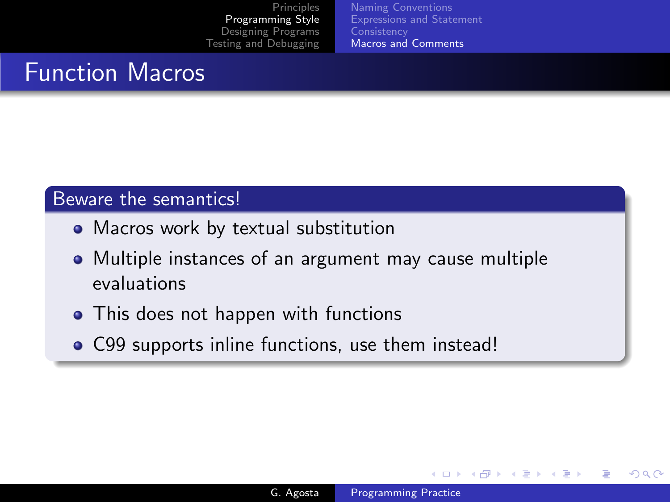[Naming Conventions](#page-5-0) [Expressions and Statement](#page-8-0) **[Consistency](#page-15-0)** [Macros and Comments](#page-21-0)

# Function Macros

### Beware the semantics!

- Macros work by textual substitution
- Multiple instances of an argument may cause multiple evaluations
- This does not happen with functions
- C99 supports inline functions, use them instead!

4 0 8

<span id="page-21-0"></span>**K 母 ▶ → 手**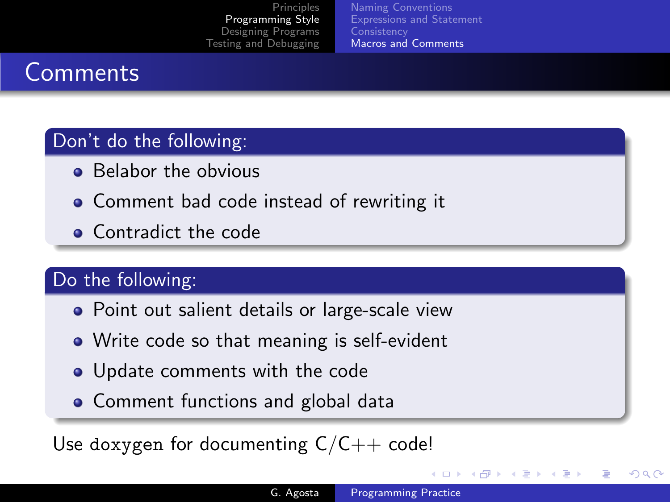[Naming Conventions](#page-5-0) [Expressions and Statement](#page-8-0) **[Consistency](#page-15-0)** [Macros and Comments](#page-21-0)

# **Comments**

### Don't do the following:

- Belabor the obvious
- Comment bad code instead of rewriting it
- Contradict the code

## Do the following:

- Point out salient details or large-scale view
- Write code so that meaning is self-evident
- Update comments with the code
- Comment functions and global data

Use doxygen for documenting  $C/C++$  code!

(ロ) (母) (ヨ

つくへ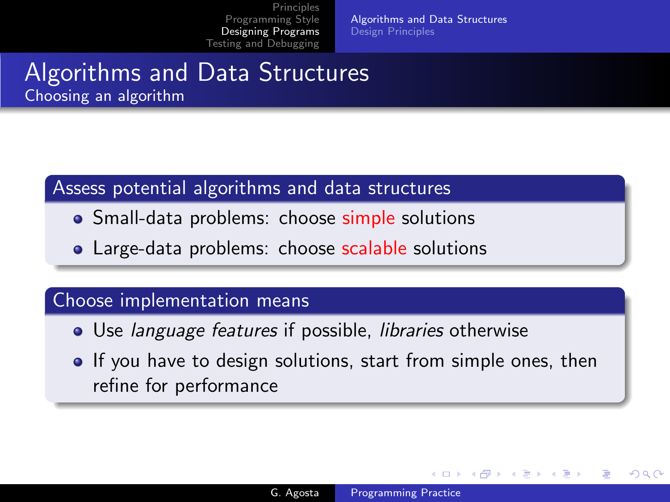[Algorithms and Data Structures](#page-23-0) [Design Principles](#page-25-0)

## Algorithms and Data Structures Choosing an algorithm

### Assess potential algorithms and data structures

- Small-data problems: choose simple solutions
- Large-data problems: choose scalable solutions

#### Choose implementation means

- Use *language features* if possible, *libraries* otherwise
- **If you have to design solutions, start from simple ones, then** refine for performance

4 0 8

<span id="page-23-0"></span> $\rightarrow$   $\oplus$   $\rightarrow$   $\rightarrow$   $\oplus$   $\rightarrow$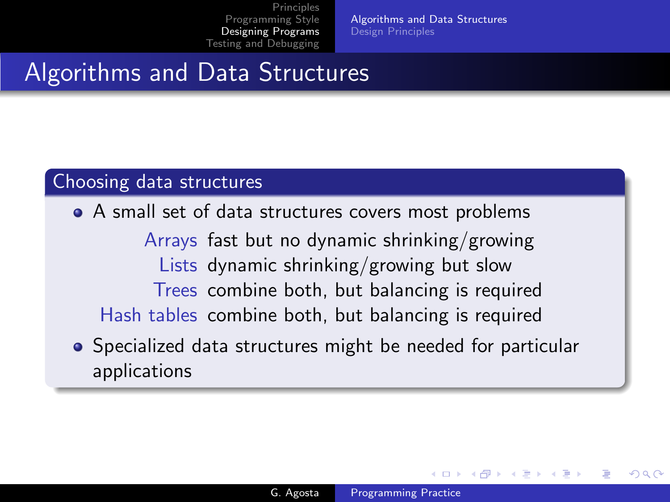[Algorithms and Data Structures](#page-23-0) [Design Principles](#page-25-0)

# Algorithms and Data Structures

#### Choosing data structures

A small set of data structures covers most problems Arrays fast but no dynamic shrinking/growing Lists dynamic shrinking/growing but slow Trees combine both, but balancing is required Hash tables combine both, but balancing is required • Specialized data structures might be needed for particular

applications

4 17 18

 $4.49 \times 4.75$ 

つくへ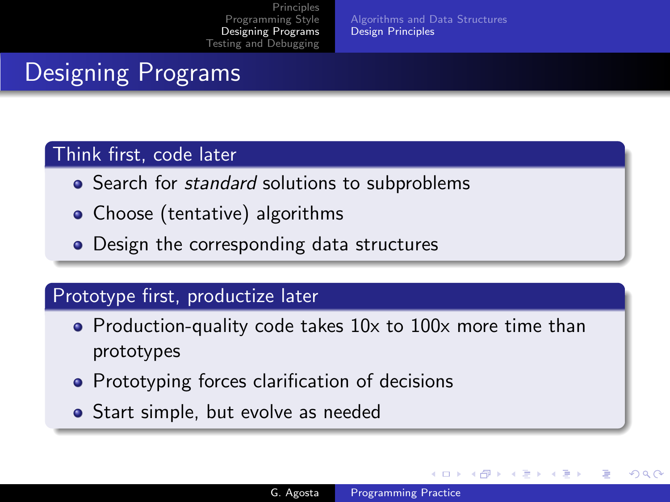[Algorithms and Data Structures](#page-23-0) [Design Principles](#page-25-0)

# Designing Programs

### Think first, code later

- Search for *standard* solutions to subproblems
- Choose (tentative) algorithms
- Design the corresponding data structures

## Prototype first, productize later

- Production-quality code takes 10x to 100x more time than prototypes
- Prototyping forces clarification of decisions
- Start simple, but evolve as needed

a mills

<span id="page-25-0"></span>つくへ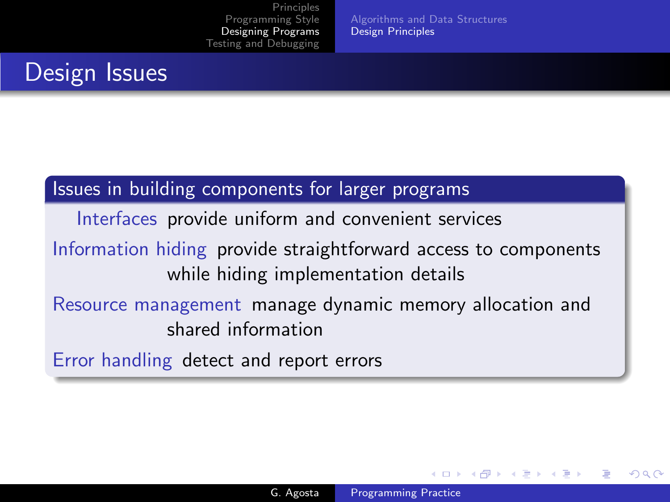[Algorithms and Data Structures](#page-23-0) [Design Principles](#page-25-0)

# Design Issues

### Issues in building components for larger programs

Interfaces provide uniform and convenient services

Information hiding provide straightforward access to components while hiding implementation details

## Resource management manage dynamic memory allocation and shared information

Error handling detect and report errors

4 17 18

 $4.49 \times 4.75$ 

つくい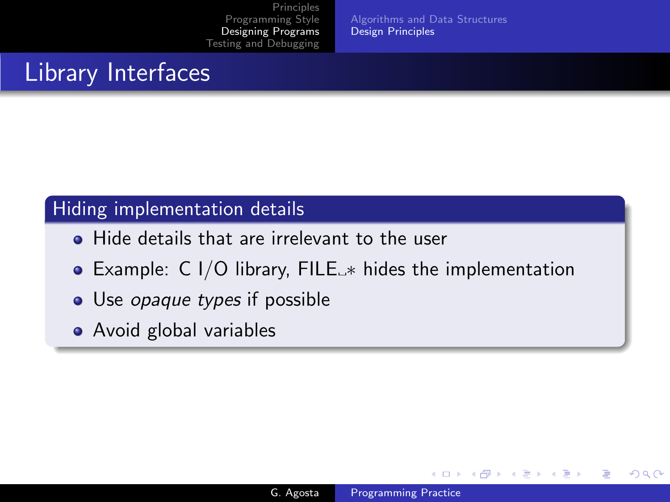[Algorithms and Data Structures](#page-23-0) [Design Principles](#page-25-0)

# Library Interfaces

### Hiding implementation details

- **Hide details that are irrelevant to the user**
- Example:  $C I/O$  library,  $FILE_{\rightarrow}$  hides the implementation
- Use *opaque types* if possible
- Avoid global variables

4 0 8

→ 何 ▶ → 手 ▶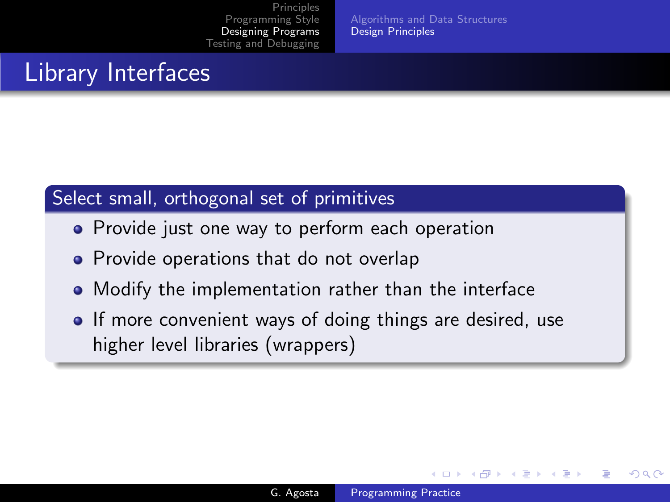[Algorithms and Data Structures](#page-23-0) [Design Principles](#page-25-0)

# Library Interfaces

## Select small, orthogonal set of primitives

- Provide just one way to perform each operation
- Provide operations that do not overlap
- Modify the implementation rather than the interface
- If more convenient ways of doing things are desired, use higher level libraries (wrappers)

4 17 18

 $4.49 \times 4.75$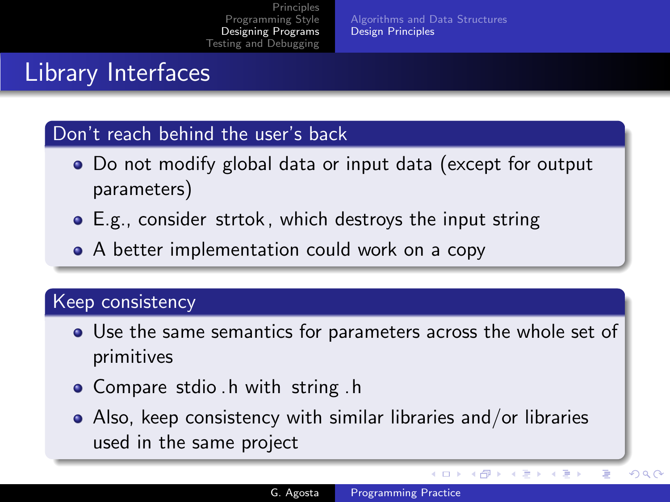[Algorithms and Data Structures](#page-23-0) [Design Principles](#page-25-0)

# Library Interfaces

#### Don't reach behind the user's back

- Do not modify global data or input data (except for output parameters)
- E.g., consider strtok , which destroys the input string
- A better implementation could work on a copy

#### Keep consistency

- Use the same semantics for parameters across the whole set of primitives
- Compare stdio h with string h
- Also, keep consistency with similar libraries and/or libraries used in the same project

4日 8

 $\rightarrow$   $\oplus$   $\rightarrow$   $\rightarrow$   $\oplus$   $\rightarrow$ 

性

 $QQ$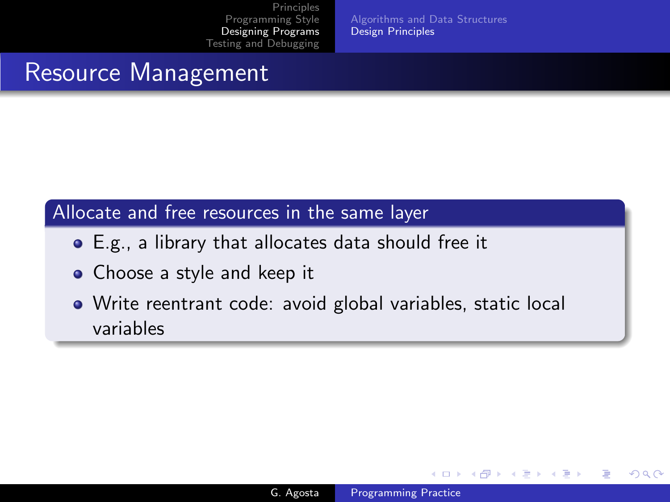[Algorithms and Data Structures](#page-23-0) [Design Principles](#page-25-0)

# Resource Management

### Allocate and free resources in the same layer

- E.g., a library that allocates data should free it
- Choose a style and keep it
- Write reentrant code: avoid global variables, static local variables

and in

 $4.49 \times 4.75$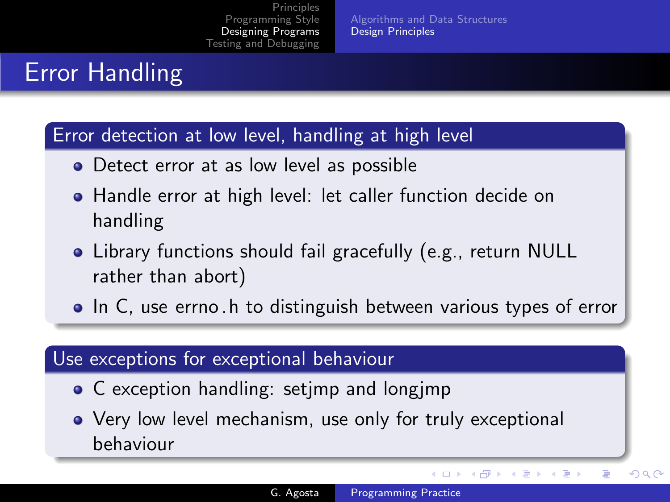[Algorithms and Data Structures](#page-23-0) [Design Principles](#page-25-0)

# Error Handling

#### Error detection at low level, handling at high level

- Detect error at as low level as possible
- Handle error at high level: let caller function decide on handling
- Library functions should fail gracefully (e.g., return NULL rather than abort)
- In C, use errno h to distinguish between various types of error

#### Use exceptions for exceptional behaviour

- C exception handling: setjmp and longjmp
- Very low level mechanism, use only for truly exceptional behaviour

メロメ メ母メ メミメ メミメ

 $\Omega$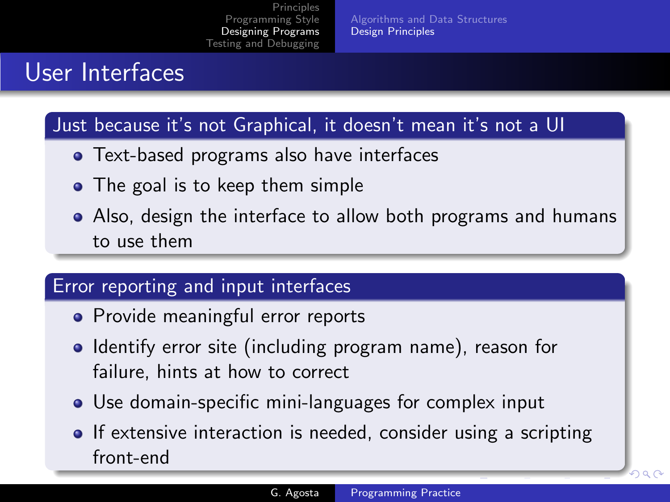[Algorithms and Data Structures](#page-23-0) [Design Principles](#page-25-0)

# User Interfaces

### Just because it's not Graphical, it doesn't mean it's not a UI

- Text-based programs also have interfaces
- The goal is to keep them simple
- Also, design the interface to allow both programs and humans to use them

## Error reporting and input interfaces

- Provide meaningful error reports
- Identify error site (including program name), reason for failure, hints at how to correct
- Use domain-specific mini-languages for complex input
- If extensive interaction is needed, consider using a scripting front-end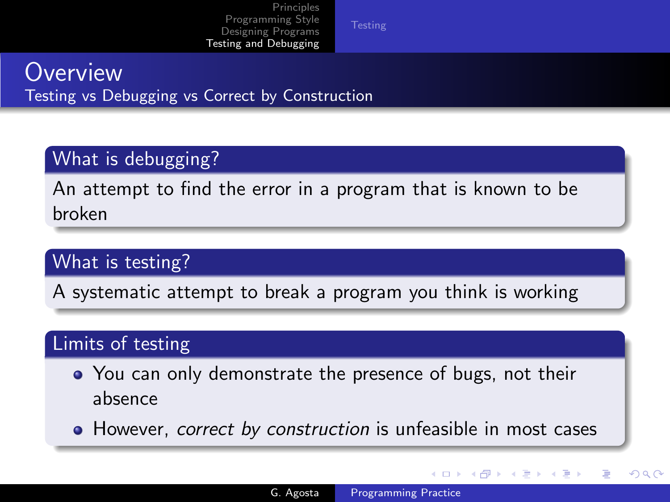## **Overview** Testing vs Debugging vs Correct by Construction

## What is debugging?

An attempt to find the error in a program that is known to be broken

## What is testing?

A systematic attempt to break a program you think is working

## Limits of testing

- You can only demonstrate the presence of bugs, not their absence
- However, *correct by construction* is unfeasible in most cases

 $\left\{ \begin{array}{ccc} 1 & 0 & 0 \\ 0 & 1 & 0 \end{array} \right\}$ 

<span id="page-33-0"></span>つくい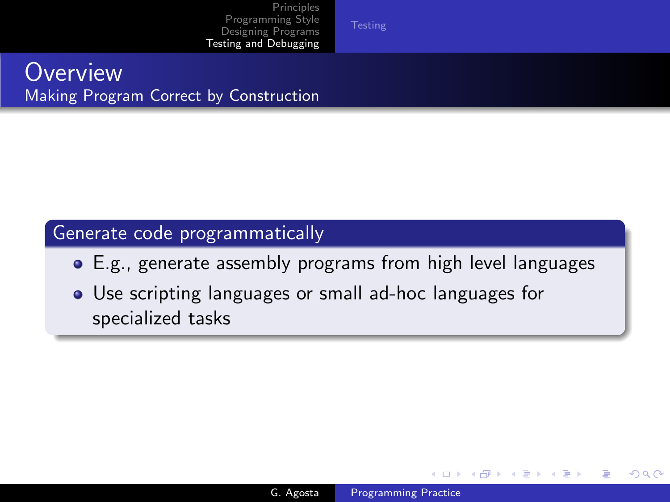## **Overview** Making Program Correct by Construction

### Generate code programmatically

- E.g., generate assembly programs from high level languages
- Use scripting languages or small ad-hoc languages for specialized tasks

4 0 8

→ 何 ▶ → 手 ▶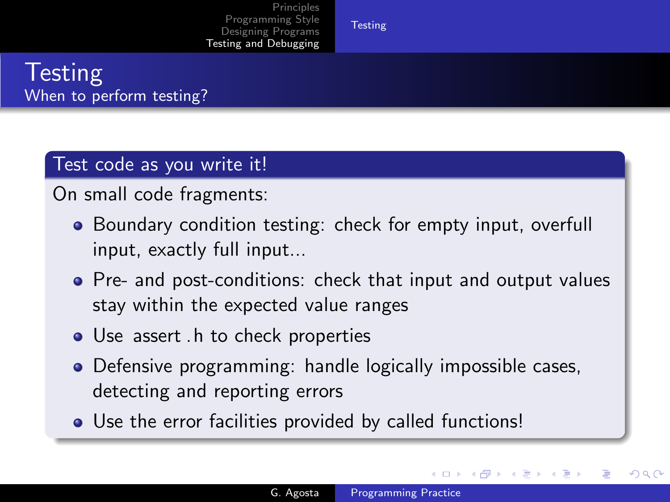# **Testing** When to perform testing?

## Test code as you write it!

On small code fragments:

- Boundary condition testing: check for empty input, overfull input, exactly full input...
- Pre- and post-conditions: check that input and output values stay within the expected value ranges
- Use assert . h to check properties
- Defensive programming: handle logically impossible cases, detecting and reporting errors
- Use the error facilities provided by called functions!

4 17 18

 $\mathcal{A} \leftarrow \mathcal{A} \times \mathcal{A} \times \mathcal{B}$ 

<span id="page-35-0"></span>つくい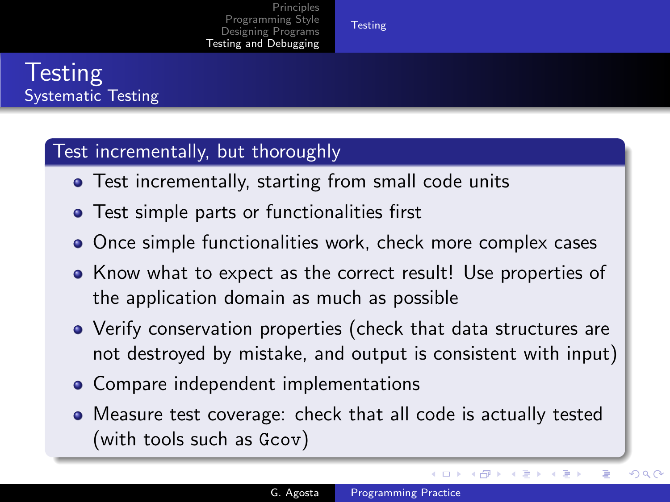# **Testing** Systematic Testing

### Test incrementally, but thoroughly

- **•** Test incrementally, starting from small code units
- **•** Test simple parts or functionalities first
- Once simple functionalities work, check more complex cases
- Know what to expect as the correct result! Use properties of the application domain as much as possible
- Verify conservation properties (check that data structures are not destroyed by mistake, and output is consistent with input)
- Compare independent implementations
- Measure test coverage: check that all code is actually tested (with tools such as Gcov)

メロメ メ母メ メミメ メミメ

 $\Omega$